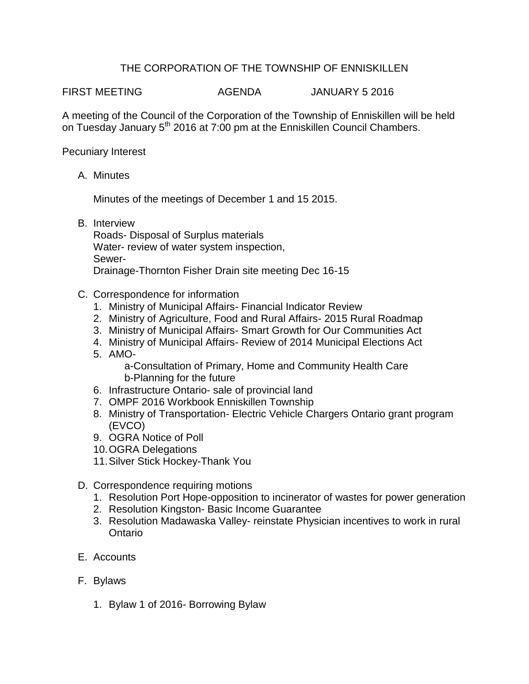## THE CORPORATION OF THE TOWNSHIP OF ENNISKILLEN

FIRST MEETING AGENDA JANUARY 5 2016

A meeting of the Council of the Corporation of the Township of Enniskillen will be held on Tuesday January 5<sup>th</sup> 2016 at 7:00 pm at the Enniskillen Council Chambers.

Pecuniary Interest

A. Minutes

Minutes of the meetings of December 1 and 15 2015.

B. Interview

Roads- Disposal of Surplus materials Water- review of water system inspection, Sewer-Drainage-Thornton Fisher Drain site meeting Dec 16-15

- C. Correspondence for information
	- 1. Ministry of Municipal Affairs- Financial Indicator Review
	- 2. Ministry of Agriculture, Food and Rural Affairs- 2015 Rural Roadmap
	- 3. Ministry of Municipal Affairs- Smart Growth for Our Communities Act
	- 4. Ministry of Municipal Affairs- Review of 2014 Municipal Elections Act
	- 5. AMO-

a-Consultation of Primary, Home and Community Health Care b-Planning for the future

- 6. Infrastructure Ontario- sale of provincial land
- 7. OMPF 2016 Workbook Enniskillen Township
- 8. Ministry of Transportation- Electric Vehicle Chargers Ontario grant program (EVCO)
- 9. OGRA Notice of Poll
- 10.OGRA Delegations
- 11.Silver Stick Hockey-Thank You
- D. Correspondence requiring motions
	- 1. Resolution Port Hope-opposition to incinerator of wastes for power generation
	- 2. Resolution Kingston- Basic Income Guarantee
	- 3. Resolution Madawaska Valley- reinstate Physician incentives to work in rural Ontario
- E. Accounts
- F. Bylaws
	- 1. Bylaw 1 of 2016- Borrowing Bylaw